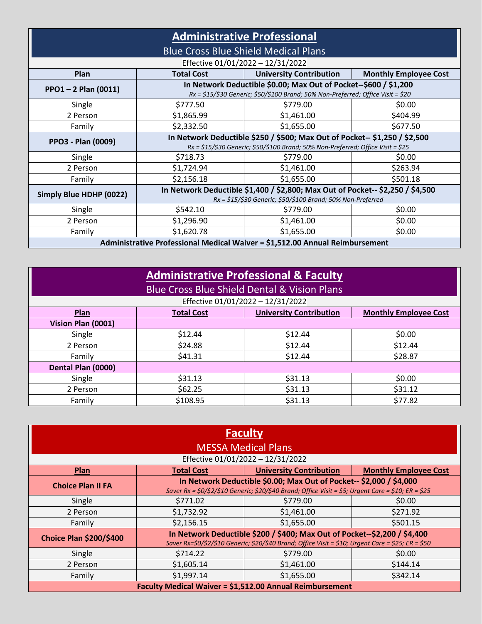| <b>Administrative Professional</b>                                           |                                                                                                                                                      |                                |                              |
|------------------------------------------------------------------------------|------------------------------------------------------------------------------------------------------------------------------------------------------|--------------------------------|------------------------------|
| <b>Blue Cross Blue Shield Medical Plans</b>                                  |                                                                                                                                                      |                                |                              |
| Effective 01/01/2022 - 12/31/2022                                            |                                                                                                                                                      |                                |                              |
| Plan                                                                         | <b>Total Cost</b>                                                                                                                                    | <b>University Contribution</b> | <b>Monthly Employee Cost</b> |
| $PPO1 - 2$ Plan (0011)                                                       | In Network Deductible \$0.00; Max Out of Pocket--\$600 / \$1,200<br>Rx = \$15/\$30 Generic; \$50/\$100 Brand; 50% Non-Preferred; Office Visit = \$20 |                                |                              |
| Single                                                                       | \$777.50                                                                                                                                             | \$779.00                       | \$0.00                       |
| 2 Person                                                                     | \$1,865.99                                                                                                                                           | \$1,461.00                     | \$404.99                     |
| Family                                                                       | \$2,332.50                                                                                                                                           | \$1,655.00                     | \$677.50                     |
| <b>PPO3 - Plan (0009)</b>                                                    | In Network Deductible \$250 / \$500; Max Out of Pocket-- \$1,250 / \$2,500                                                                           |                                |                              |
|                                                                              | Rx = \$15/\$30 Generic; \$50/\$100 Brand; 50% Non-Preferred; Office Visit = \$25                                                                     |                                |                              |
| Single                                                                       | \$718.73                                                                                                                                             | \$779.00                       | \$0.00                       |
| 2 Person                                                                     | \$1,724.94                                                                                                                                           | \$1,461.00                     | \$263.94                     |
| Family                                                                       | \$2,156.18                                                                                                                                           | \$1,655.00                     | \$501.18                     |
| Simply Blue HDHP (0022)                                                      | In Network Deductible \$1,400 / \$2,800; Max Out of Pocket-- \$2,250 / \$4,500<br>Rx = \$15/\$30 Generic; \$50/\$100 Brand; 50% Non-Preferred        |                                |                              |
| Single                                                                       | \$542.10                                                                                                                                             | \$779.00                       | \$0.00                       |
| 2 Person                                                                     | \$1,296.90                                                                                                                                           | \$1,461.00                     | \$0.00                       |
| Family                                                                       | \$1,620.78                                                                                                                                           | \$1,655.00                     | \$0.00                       |
| Administrative Professional Medical Waiver = \$1,512.00 Annual Reimbursement |                                                                                                                                                      |                                |                              |

| <b>Administrative Professional &amp; Faculty</b><br><b>Blue Cross Blue Shield Dental &amp; Vision Plans</b> |                   |                                |                              |
|-------------------------------------------------------------------------------------------------------------|-------------------|--------------------------------|------------------------------|
| Effective 01/01/2022 - 12/31/2022                                                                           |                   |                                |                              |
| Plan                                                                                                        | <b>Total Cost</b> | <b>University Contribution</b> | <b>Monthly Employee Cost</b> |
| Vision Plan (0001)                                                                                          |                   |                                |                              |
| Single                                                                                                      | \$12.44           | \$12.44                        | \$0.00                       |
| 2 Person                                                                                                    | \$24.88           | \$12.44                        | \$12.44                      |
| Family                                                                                                      | \$41.31           | \$12.44                        | \$28.87                      |
| Dental Plan (0000)                                                                                          |                   |                                |                              |
| Single                                                                                                      | \$31.13           | \$31.13                        | \$0.00                       |
| 2 Person                                                                                                    | \$62.25           | \$31.13                        | \$31.12                      |
| Family                                                                                                      | \$108.95          | \$31.13                        | \$77.82                      |

| <b>Faculty</b>                                           |                                                                                                    |            |                                                                                                     |  |
|----------------------------------------------------------|----------------------------------------------------------------------------------------------------|------------|-----------------------------------------------------------------------------------------------------|--|
| <b>MESSA Medical Plans</b>                               |                                                                                                    |            |                                                                                                     |  |
| Effective 01/01/2022 - 12/31/2022                        |                                                                                                    |            |                                                                                                     |  |
| Plan                                                     | <b>University Contribution</b><br><b>Monthly Employee Cost</b><br><b>Total Cost</b>                |            |                                                                                                     |  |
| <b>Choice Plan II FA</b>                                 | In Network Deductible \$0.00; Max Out of Pocket-- \$2,000 / \$4,000                                |            |                                                                                                     |  |
|                                                          |                                                                                                    |            | Saver Rx = \$0/\$2/\$10 Generic; \$20/\$40 Brand; Office Visit = \$5; Urgent Care = \$10; ER = \$25 |  |
| Single                                                   | \$771.02                                                                                           | \$779.00   | \$0.00                                                                                              |  |
| 2 Person                                                 | \$1,732.92                                                                                         | \$1,461.00 | \$271.92                                                                                            |  |
| Family                                                   | \$2,156.15                                                                                         | \$1,655.00 | \$501.15                                                                                            |  |
| <b>Choice Plan \$200/\$400</b>                           | In Network Deductible \$200 / \$400; Max Out of Pocket--\$2,200 / \$4,400                          |            |                                                                                                     |  |
|                                                          | Saver Rx=\$0/\$2/\$10 Generic; \$20/\$40 Brand; Office Visit = \$10; Urgent Care = \$25; ER = \$50 |            |                                                                                                     |  |
| Single                                                   | \$714.22                                                                                           | \$779.00   | \$0.00                                                                                              |  |
| 2 Person                                                 | \$1,605.14                                                                                         | \$1,461.00 | \$144.14                                                                                            |  |
| Family                                                   | \$1,997.14                                                                                         | \$1,655.00 | \$342.14                                                                                            |  |
| Faculty Medical Waiver = \$1,512.00 Annual Reimbursement |                                                                                                    |            |                                                                                                     |  |